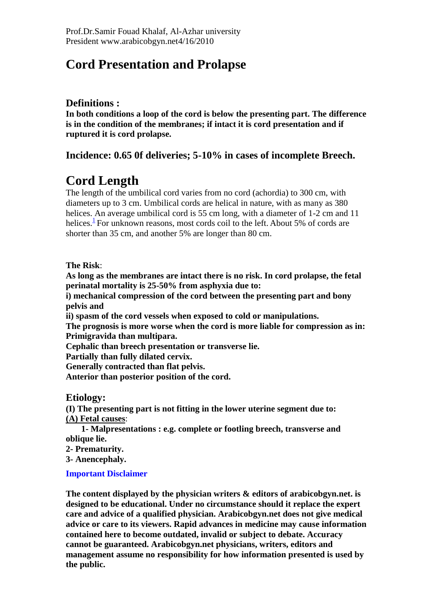# **Cord Presentation and Prolapse**

## **Definitions :**

**In both conditions a loop of the cord is below the presenting part. The difference is in the condition of the membranes; if intact it is cord presentation and if ruptured it is cord prolapse.**

## **Incidence: 0.65 0f deliveries; 5-10% in cases of incomplete Breech.**

# **Cord Length**

The length of the umbilical cord varies from no cord (achordia) to 300 cm, with diameters up to 3 cm. Umbilical cords are helical in nature, with as many as 380 helices. An average umbilical cord is 55 cm long, with a diameter of 1-2 cm and 11 helices.<sup>[1](javascript:showcontent()</sup> For unknown reasons, most cords coil to the left. About 5% of cords are shorter than 35 cm, and another 5% are longer than 80 cm.

**The Risk**:

**As long as the membranes are intact there is no risk. In cord prolapse, the fetal perinatal mortality is 25-50% from asphyxia due to:**

**i) mechanical compression of the cord between the presenting part and bony pelvis and** 

**ii) spasm of the cord vessels when exposed to cold or manipulations.**

**The prognosis is more worse when the cord is more liable for compression as in: Primigravida than multipara.**

**Cephalic than breech presentation or transverse lie.**

**Partially than fully dilated cervix.**

**Generally contracted than flat pelvis.**

**Anterior than posterior position of the cord.**

**Etiology:**

**(I) The presenting part is not fitting in the lower uterine segment due to: (A) Fetal causes**:

 **1- Malpresentations : e.g. complete or footling breech, transverse and oblique lie.**

**2- Prematurity.** 

**3- Anencephaly.** 

#### **Important Disclaimer**

**The content displayed by the physician writers & editors of arabicobgyn.net. is designed to be educational. Under no circumstance should it replace the expert care and advice of a qualified physician. Arabicobgyn.net does not give medical advice or care to its viewers. Rapid advances in medicine may cause information contained here to become outdated, invalid or subject to debate. Accuracy cannot be guaranteed. Arabicobgyn.net physicians, writers, editors and management assume no responsibility for how information presented is used by the public.**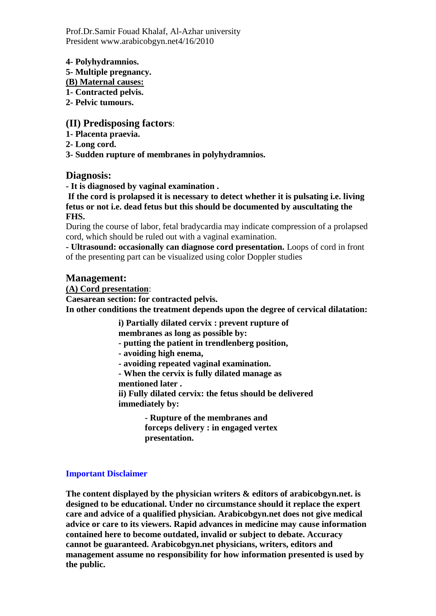Prof.Dr.Samir Fouad Khalaf, Al-Azhar university President www.arabicobgyn.net4/16/2010

**4- Polyhydramnios.** 

**5- Multiple pregnancy.**

**(B) Maternal causes:**

**1- Contracted pelvis.** 

**2- Pelvic tumours.**

## **(II) Predisposing factors**:

**1- Placenta praevia.**

**2- Long cord.** 

**3- Sudden rupture of membranes in polyhydramnios.**

## **Diagnosis:**

**- It is diagnosed by vaginal examination .**

**If the cord is prolapsed it is necessary to detect whether it is pulsating i.e. living fetus or not i.e. dead fetus but this should be documented by auscultating the FHS.**

During the course of labor, fetal bradycardia may indicate compression of a prolapsed cord, which should be ruled out with a vaginal examination.

**- Ultrasound: occasionally can diagnose cord presentation.** Loops of cord in front of the presenting part can be visualized using color Doppler studies

## **Management:**

**(A) Cord presentation**:

**Caesarean section: for contracted pelvis. In other conditions the treatment depends upon the degree of cervical dilatation:** 

**i) Partially dilated cervix : prevent rupture of** 

**membranes as long as possible by:**

**- putting the patient in trendlenberg position,**

**- avoiding high enema,** 

**- avoiding repeated vaginal examination.** 

**- When the cervix is fully dilated manage as** 

**mentioned later .**

**ii) Fully dilated cervix: the fetus should be delivered immediately by:**

> **- Rupture of the membranes and forceps delivery : in engaged vertex presentation.**

#### **Important Disclaimer**

**The content displayed by the physician writers & editors of arabicobgyn.net. is designed to be educational. Under no circumstance should it replace the expert care and advice of a qualified physician. Arabicobgyn.net does not give medical advice or care to its viewers. Rapid advances in medicine may cause information contained here to become outdated, invalid or subject to debate. Accuracy cannot be guaranteed. Arabicobgyn.net physicians, writers, editors and management assume no responsibility for how information presented is used by the public.**